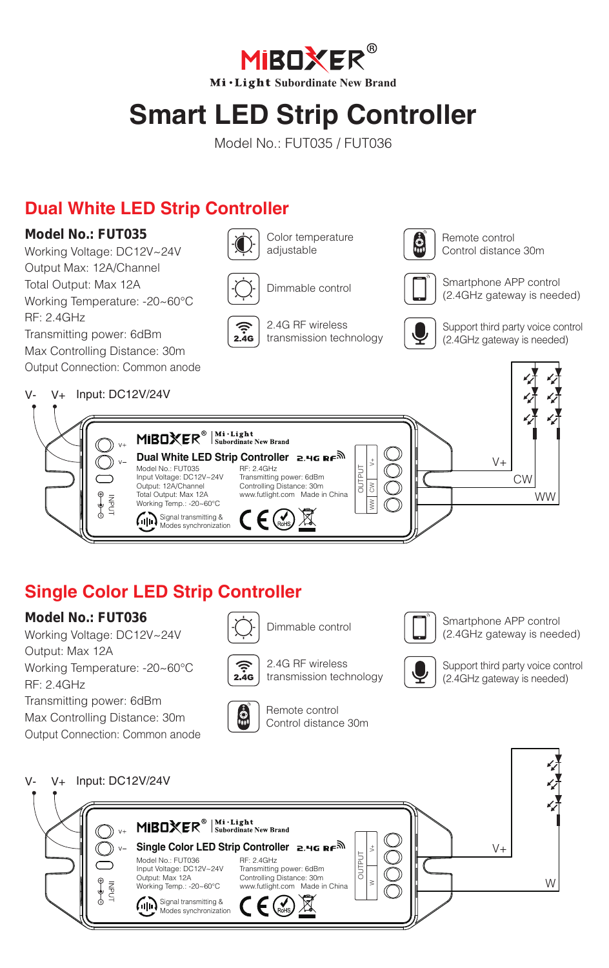**MIBOXER® Mi·Light Subordinate New Brand** 

# **Smart LED Strip Controller**

Model No.: FUT035 / FUT036

# **Dual White LED Strip Controller**

#### **Model No.: FUT035**

Working Voltage: DC12V~24V Output Max: 12A/Channel Total Output: Max 12A Working Temperature: -20~60°C RF: 2.4GHz Transmitting power: 6dBm Max Controlling Distance: 30m



Color temperature adiustable



Dimmable control



2.4G RF wireless transmission technology



Remote control Control distance 30m



Smartphone APP control (2.4GHz gateway is needed)



Support third party voice control (2.4GHz gateway is needed)



### **Single Color LED Strip Controller**

#### **Model No.: FUT036**

Working Voltage: DC12V~24V Output: Max 12A Working Temperature: -20~60°C RF: 2.4GHz Transmitting power: 6dBm Max Controlling Distance: 30m

Output Connection: Common anode



Dimmable control

Remote control Control distance 30m



2.4G RF wireless<br>transmission technology



Smartphone APP control (2.4GHz gateway is needed)



Support third party voice control (2.4GHz gateway is needed)